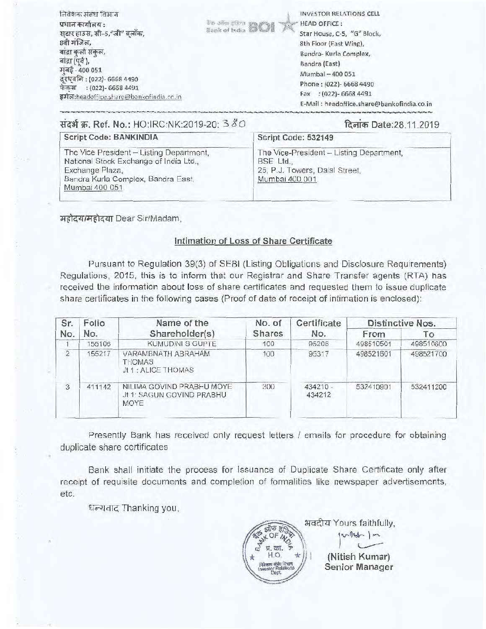| संदर्भ क्र. Ref. No.: HO:IRC:NK:2019-20: 3 80                                                                                                                                                                                                        |                                 | E-Mail: headoffice.share@bankofindia.co.in<br>दिनांक Date:28.11.2019                                                                                                                                                       |
|------------------------------------------------------------------------------------------------------------------------------------------------------------------------------------------------------------------------------------------------------|---------------------------------|----------------------------------------------------------------------------------------------------------------------------------------------------------------------------------------------------------------------------|
| निवेशक संबंध विभाग<br>प्रधान कार्यालय :<br>स्टार हाउस, सी-5,"जी" बलॉक,<br>8वी मजिल,<br>बादा कुर्ला संकुल,<br>बांद्रा (पूर्व),<br>मुंबई - 400 051<br>दुरध्वनि: (022)- 6668 4490<br>फेकस : (022)- 6668 4491<br>इमेल:headoffice.share@bankofindia.co.in | <sup>3% artis (Bart BOI K</sup> | INVESTOR RELATIONS CELL<br><b>HEAD OFFICE:</b><br>Star House, C-5, "G" Block,<br>8th Floor (East Wing),<br>Bandra- Kurla Complex,<br>Bandra (East)<br>Mumbai - 400 051<br>Phone: (022)- 6668 4490<br>Fax : (022)-6668 4491 |

| Script Code: BANKINDIA                                                                                                                                         | Script Code: 532149                                                                                        |
|----------------------------------------------------------------------------------------------------------------------------------------------------------------|------------------------------------------------------------------------------------------------------------|
| The Vice President - Listing Department,<br>National Stock Exchange of India Ltd.,<br>Exchange Plaza,<br>Bandra Kurla Complex, Bandra East,<br>Mumbai 400 051. | The Vice-President - Listing Department,<br>BSE Ltd.,<br>25, P.J. Towers, Dalal Street,<br>Mumbai 400 001. |

**TredZflge - -4-74T** Dear Sir/Madam,

# **Intimation of Loss of Share Certificate**

Pursuant to Regulation 39(3) of SEBI (Listing Obligations and Disclosure Requirements) Regulations, 2015, this is to inform that our Registrar and Share Transfer agents (RTA) has received the information about loss of share certificates and requested them to issue duplicate share certificates in the following cases (Proof of date of receipt of intimation is enclosed):

| Folio<br>Sr.   |        | Name of the                                                    | No. of | Certificate          | Distinctive Nos. |           |  |
|----------------|--------|----------------------------------------------------------------|--------|----------------------|------------------|-----------|--|
| No.            | No.    | Shareholder(s)                                                 | Shares | No.                  | From             | Tо        |  |
|                | 155106 | KUMUDINI S GUPTE                                               | 100    | 95206                | 498510501        | 498510600 |  |
| $\overline{2}$ | 55217  | VARAMBNATH ABRAHAM<br><b>THOMAS</b><br>Jt 1 : ALICE THOMAS     | 100    | 95317                | 498521601        | 498521700 |  |
| 3              | 411142 | NILIMA GOVIND PRABHU MOYE<br>Jt 1: SAGUN GOVIND PRABHU<br>MOYE | 300    | $434210 -$<br>434212 | 532410901        | 532411200 |  |

Presently Bank has received only request letters / emails for procedure for obtaining duplicate share certificates

Bank shall initiate the process for Issuance of Duplicate Share Certificate only after receipt of requisite documents and completion of formalities like newspaper advertisements, etc.

धन्यवाद Thanking you,

भवदीय Yours faithfully, (Nitish Kumar) Extra Collection<br>
\* collection<br>
\* Collection<br>
\* Collection<br>
\* Collection<br>
\* Collection<br>
France Collection<br>
The Collection<br>
Senior Manager Investor Rol p ol<br>X **ring 1 m**<br>
(Nitish Kumar)<br>
Senior Manager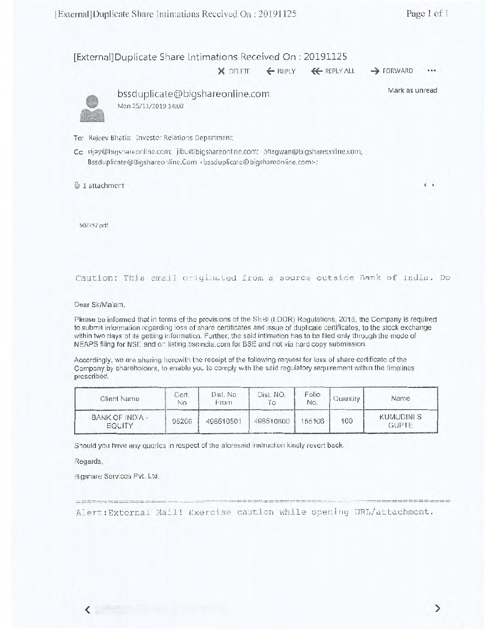[External]Duplicate Share Intimations Received On : 20191125

 $X$  DELETE  $\leftarrow$  REPLY  $\leftarrow$  REPLY ALL  $\rightarrow$  FORWARD •••

Mark as unread

 $\leftarrow$ 



bssduplicate@bigshareonline.com Mon 25/11/2019 14:00

To: Rajeev Bhatia; Investor Relations Department;

Cc: vijay@bigshareonline.com; jibu@bigshareonline.com; bhagwan@bigshareonline.com; Bssduplicate@Bigshareonline.Com <bssduplicate@bigshareonline.com>;

@j 1 attachment

502257.pdf

#### Caution: This email originated from a source outside Bank of India. Do

Dear Sir/Ma'am,

Please be informed that in terms of the provisions of the SEBI (LODR) Regulations, 2015, the Company is required to submit information regarding loss of share certificates and issue of duplicate certificates, to the stock exchange within two days of its getting information. Further, the said intimation has to be filed only through the mode of NEAPS filing for NSE and on listing.bseindia.com for BSE and not via hard copy submission.

Accordingly, we are sharing herewith the receipt of the following request for loss of share certificate of the Company by shareholders, to enable you to comply with the said regulatory requirement within the timelines prescribed.

| Client Name               | Cert.<br>No | Dist. No.<br>From | Dist. NO. | Folio<br>No. | Quantity | Name                             |
|---------------------------|-------------|-------------------|-----------|--------------|----------|----------------------------------|
| BANK OF INDIA -<br>EQUITY | 95206       | 498510501         | 498510600 | 155106       | 100      | <b>KUMUDINIS</b><br><b>GUPTE</b> |

Should you have any queries in respect of the aforesaid instruction kindly revert back.

Regards,

Bigshare Services Pvt. Ltd.

 $\frac{1}{2} \frac{1}{2} \left( \frac{1}{2} \frac{1}{2} \frac{1}{2} \frac{1}{2} \frac{1}{2} \frac{1}{2} \frac{1}{2} \frac{1}{2} \frac{1}{2} \frac{1}{2} \frac{1}{2} \frac{1}{2} \frac{1}{2} \frac{1}{2} \frac{1}{2} \frac{1}{2} \frac{1}{2} \frac{1}{2} \frac{1}{2} \frac{1}{2} \frac{1}{2} \frac{1}{2} \frac{1}{2} \frac{1}{2} \frac{1}{2} \frac{1}{2} \frac{1}{2} \frac{1}{2} \frac{1}{2}$ 

Alert: External Mail! Exercise caution while opening URL/attachment.

which are seen and here they will have a long and the state of the control of the state of the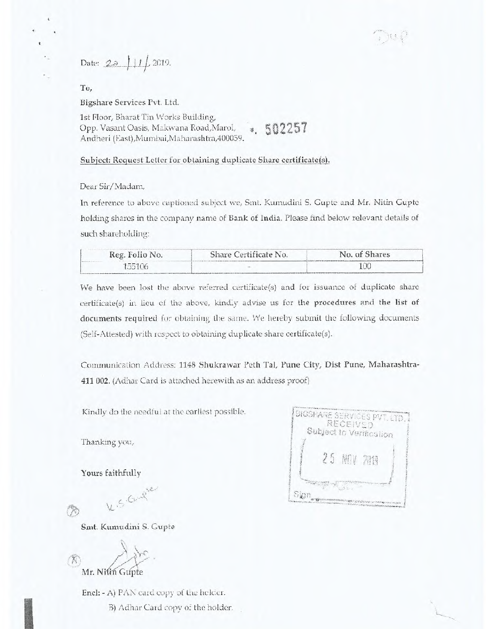Date:  $2a$  |  $11$  | 2019.

To,

ŧ

Bigshare Services Pvt. Ltd.

1st Floor, Bharat Tin Works Building, Opp. Vasant Oasis, Makwana Road,Marol, Andheri (East),Mumbai,Maharashtra,400059. • 502257

Subject: Request Letter for obtaining duplicate Share certificate(s).

Dear Sir/ Madam,

In reference to above captioned subject we, Sint. Kumudini S, Gupte and Mr. Nitin Gupte holding shares in the company name of Bank of India. Please find below relevant details of such shareholding:

| Reg. Folio No. | Share Certificate No. | No. of Shares |
|----------------|-----------------------|---------------|
| 35106          |                       | OC            |

We have been lost the above referred certificate(s) and for issuance of duplicate share certificate(s) in lieu of the above, kindly advise us for the procedures and the list of documents required for obtaining the same. We hereby submit the following documents (Self-Attested) with respect to obtaining duplicate share certificate(s).

Communication Address: 1148 Shukrawar Peth Tal, Pune City, Dist Pune, Maharashtra-411 002. (Adhar Card is attached herewith as an address proof)

Kindly do the needful at the earliest possible.

Thanking you,

Yours faithfully

BIGSHARE SERVICES PVT. LTD. Subject to Verification q Sign,

R

Smt. Kumudini S. Gupte

K.S. Gugue

 $\mathcal{N}$ Mr. Nitin Gupte

Encl: - A) PAN card copy of the holder.

B) Adhar Card copy of the holder.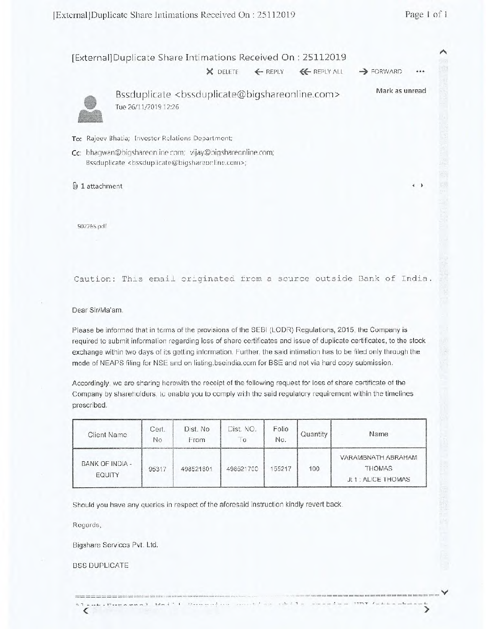$\rightarrow$ 

|   | [External]Duplicate Share Intimations Received On: 25112019                                               |          |                   |                       |      |
|---|-----------------------------------------------------------------------------------------------------------|----------|-------------------|-----------------------|------|
|   |                                                                                                           | X DELETE | EREPLY EREPLY ALL | $\rightarrow$ FORWARD | 0.00 |
| ● | Bssduplicate <bssduplicate@bigshareonline.com><br/>Tue 26/11/2019 12:26</bssduplicate@bigshareonline.com> |          |                   | Mark as unread        |      |

To: Rajeev Bhatia; Investor Relations Department;

Cc: bhagwan@bigshareon.ine.com; vijay@bigshareonline.com; Bssduplicate <bssduplicate@bigshareonline.com>;

1 attachment **I** ►

502265.pdf

## Caution: This email originated from a source outside Bank of India.

Dear Sir/Ma'am,

Please be informed that in terms of the provisions of the SEBI (LODR) Regulations, 2015, the Company is required to submit information regarding loss of share certificates and issue of duplicate certificates, to the stock exchange within two days of its getting information. Further, the said intimation has to be filed only through the mode of NEAPS filing for NSE and on listing.bseindia.com for BSE and not via hard copy submission.

Accordingly, we are sharing herewith the receipt of the following request for loss of share certificate of the Company by shareholders, to enable you to comply with the said regulatory requirement within the timelines prescribed.

| Client Name               | Cert.<br>No. | Dist. No<br>From | Dist. NO.<br>$\circ$ | Folio<br>No. | Quantity | Name                                                       |
|---------------------------|--------------|------------------|----------------------|--------------|----------|------------------------------------------------------------|
| BANK OF INDIA -<br>EQUITY | 95317        | 498521601        | 498521700            | 55217        | 100      | VARAMBNATH ABRAHAM<br><b>THOMAS</b><br>Jt 1 : ALICE THOMAS |

We consider the consideration of the first section of the  $\alpha$ 

Should you have any queries in respect of the aforesaid instruction kindly revert back.

 $n = 1 - 1$ 

Regards,

Bigshare Services Pvt. Ltd.

BSS DUPLICATE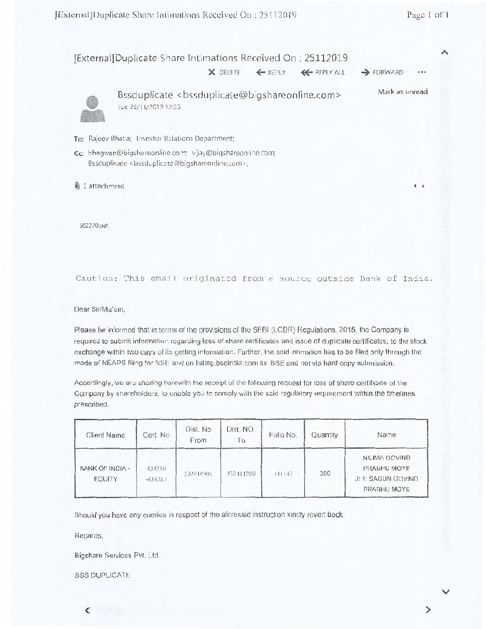V

## [External]Duplicate Share Intimations Received On : 25112019

 $X$  DELETE  $4$  REPLY  $4$  REPLY ALL  $\rightarrow$  FORWARD



Bssduplicate <bssduplicate@bigshareonline.com> .True 26/11/2019 12:33 Mark as unread

To: Rajeev Bhatia; Investor Relations Department;

Cc: bhagwan@bigshareonline.com; vijay@bigshareonline.com; Bssduplicate <bssduplicate@bigshareonline.com>;

1 attachment **<sup>4</sup>**

502270.pdf

### Caution: This email originated from a source outside Bank of India.

Dear Sir/Ma'am,

Please be informed that in terms of the provisions of the SEBI (LODR) Regulations, 2015, the Company is required to submit information regarding loss of share certificates and issue of duplicate certificates, to the stock exchange within two days of its getting information. Further, the said intimation has to be filed only through the mode of NEAPS filing for NSF and on listing.bseindia.com for BSE and not via hard copy submission.

Accordingly, we are sharing herewith the receipt of the following request for loss of share certificate of the Company by shareholders, to enable you to comply with the said regulatory requirement within the timelines prescribed.

| Client Name                      | Cert. No            | Dist. No<br>From | Dist. NO.<br>Īθ | Folio No. | Quantity | Name                                                              |
|----------------------------------|---------------------|------------------|-----------------|-----------|----------|-------------------------------------------------------------------|
| BANK OF INDIA -<br><b>EQUITY</b> | 434210<br>$-434212$ | 532410901        | 532411200       | 411142    | 300      | NILIMA GOVIND<br>PRABHU MOYE<br>Jt 1: SAGUN GOVIND<br>PRABHU MOYE |

Should you have any queries in respect of the aforesaid instruction kindly revert back.

Regards,

Bigshare Services Pvt. Ltd.

BSS DUPLICATE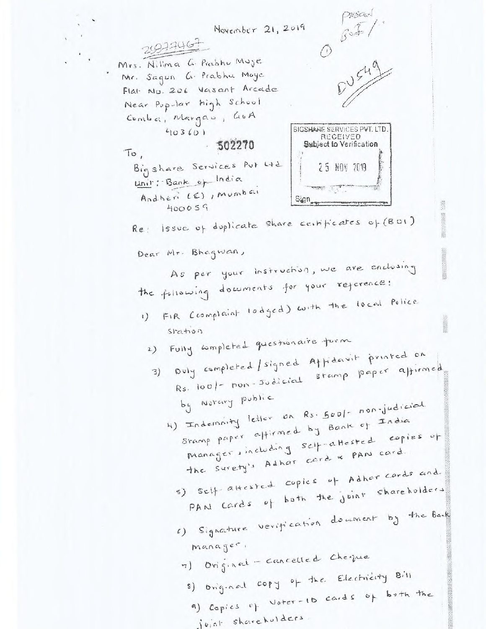